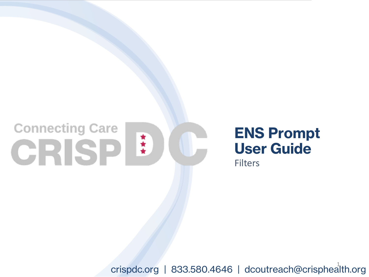## **Connecting Care** CRISP<sup>!</sup>

### **ENS Prompt User Guide**

**Filters** 

crispdc.org | 833.580.4646 | dcoutreach@crisphealth.org <sup>1</sup>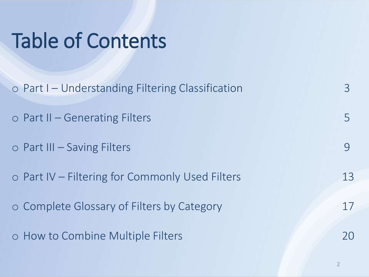## Table of Contents

| $\circ$ Part I – Understanding Filtering Classification | 3  |
|---------------------------------------------------------|----|
| $\circ$ Part II – Generating Filters                    |    |
| $\circ$ Part III – Saving Filters                       |    |
| o Part IV – Filtering for Commonly Used Filters         | 13 |
| o Complete Glossary of Filters by Category              | 17 |
| o How to Combine Multiple Filters                       | 20 |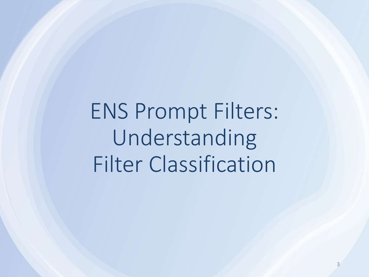ENS Prompt Filters: Understanding Filter Classification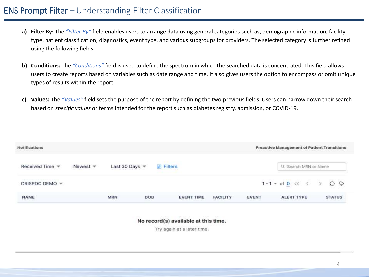- **a) Filter By:** The *"Filter By"* field enables users to arrange data using general categories such as, demographic information, facility type, patient classification, diagnostics, event type, and various subgroups for providers. The selected category is further refined using the following fields.
- **b) Conditions:** The *"Conditions"* field is used to define the spectrum in which the searched data is concentrated. This field allows users to create reports based on variables such as date range and time. It also gives users the option to encompass or omit unique types of results within the report.
- **c) Values:** The *"Values"* field sets the purpose of the report by defining the two previous fields. Users can narrow down their search based on *specific values* or terms intended for the report such as diabetes registry, admission, or COVID-19.

| <b>Notifications</b>     |                                |                         |                |                                                         |                   |                 |              | <b>Proactive Management of Patient Transitions</b>  |               |
|--------------------------|--------------------------------|-------------------------|----------------|---------------------------------------------------------|-------------------|-----------------|--------------|-----------------------------------------------------|---------------|
| Received Time $\sqrt{*}$ | Newest $\overline{\mathbf{v}}$ | Last 30 Days $\sqrt{ }$ |                | <b>图 Filters</b><br><b>School Controller Controller</b> |                   |                 |              | Q Search MRN or Name                                |               |
| CRISPDC DEMO -           |                                |                         |                |                                                         |                   |                 |              | $1-1$ * of 0 $\ll \langle \rangle$ > 0 $\heartsuit$ |               |
| <b>NAME</b>              |                                | <b>MRN</b>              | DOB<br>2454091 |                                                         | <b>EVENT TIME</b> | <b>FACILITY</b> | <b>EVENT</b> | <b>ALERT TYPE</b>                                   | <b>STATUS</b> |

No record(s) available at this time.

Try again at a later time.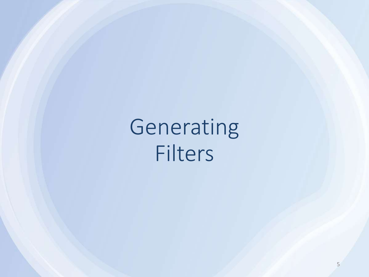Generating Filters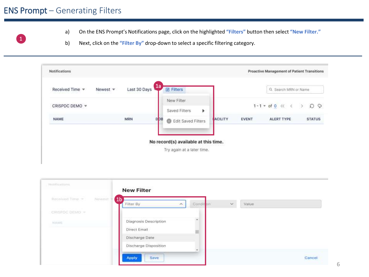#### ENS Prompt – Generating Filters

1

- a) On the ENS Prompt's Notifications page, click on the highlighted **"Filters"** button then select **"New Filter."**
- b) Next, click on the **"Filter By"** drop-down to select a specific filtering category.



| Hanticalisms:  |         | <b>New Filter</b>              |                |          |       |                           |
|----------------|---------|--------------------------------|----------------|----------|-------|---------------------------|
| Received Time  | Nowest? | (1 <sub>b</sub> )<br>Filter By | Condit on<br>× | $\omega$ | Value |                           |
| CRISEDC DEMO = |         |                                |                |          |       |                           |
| NAME           |         | Diagnosis Description          | ۰              |          |       |                           |
|                |         | Direct Email                   |                |          |       |                           |
|                |         | Discharge Date                 |                |          |       |                           |
|                |         | Discharge Disposition          | $\sim$         |          |       |                           |
|                |         | Save<br><b>Apply</b>           |                |          |       | <b>PERSONAL</b><br>Cancel |

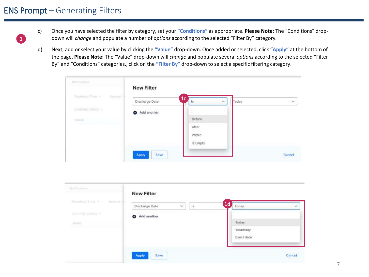#### ENS Prompt – Generating Filters

1

- c) Once you have selected the filter by category, set your **"Conditions"** as appropriate. **Please Note:** The "Conditions" dropdown will *change* and populate a number of *options* according to the selected "Filter By" category.
- d) Next, add or select your value by clicking the **"Value"** drop-down. Once added or selected, click **"Apply"** at the bottom of the page. **Please Note:** The "Value" drop-down will *change* and populate several *options* according to the selected "Filter By" and "Conditions" categories., click on the **"Filter By"** drop-down to select a specific filtering category.

|                                    | <b>New Filter</b> |                                                        |       |        |
|------------------------------------|-------------------|--------------------------------------------------------|-------|--------|
| <b>Recisived Time w</b><br>Newest? | Discharge Date    | $\overline{1}$ c'<br>$\mathcal{P}^{\mathcal{L}}$<br>18 | Today | St.    |
| curriche o EWO $\approx$           | Add another<br>Ð  |                                                        |       |        |
| 10,641                             |                   | Before                                                 |       |        |
|                                    |                   | After                                                  |       |        |
|                                    |                   | Within                                                 |       |        |
|                                    |                   | Is Empty                                               |       |        |
|                                    | Apply<br>Save     |                                                        |       | Cancel |

| Six Illinoisme.             | <b>New Filter</b>                               |                                                 |
|-----------------------------|-------------------------------------------------|-------------------------------------------------|
| Rocalved Time =<br>Newsatt. | Discharge Date<br>$\checkmark$<br>$1\mathrm{s}$ | 1 <sub>d</sub><br>Today<br>×                    |
| CRISEDC.DEMO .W             | Add another                                     |                                                 |
| <b>INDRE</b>                |                                                 | Today.                                          |
|                             |                                                 | Yesterday                                       |
|                             |                                                 | <b>CAUCION AND</b><br>Exact date<br>정화화 합니다 카드카 |
|                             |                                                 |                                                 |
|                             | Apply<br>Save                                   | Cancel.<br><b>MAGES AND</b>                     |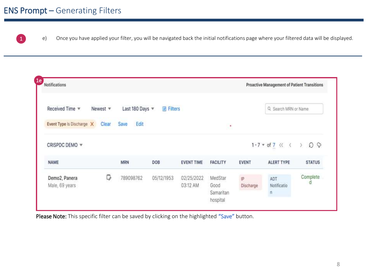#### ENS Prompt – Generating Filters



 $\boxed{1}$  e) Once you have applied your filter, you will be navigated back the initial notifications page where your filtered data will be displayed.

| Notifications             |                    |               |         |                   |                 |              | Proactive Management of Patient Transitions             |               |
|---------------------------|--------------------|---------------|---------|-------------------|-----------------|--------------|---------------------------------------------------------|---------------|
| Received Time $\Psi$      | Newest $\mathbf w$ | Last 180 Days | Filters |                   |                 |              | Q Search MRN or Name.                                   |               |
| Event Type Is Discharge X | Clear              | Edit<br>Save  |         |                   | $\cdot$         |              |                                                         |               |
| CRISPDC DEMO $\sqrt{ }$   |                    |               |         |                   |                 |              | $1-7$ $\ast$ of $7 \ll \langle \rangle$ $\circ$ $\circ$ |               |
|                           |                    |               |         |                   |                 |              |                                                         |               |
| <b>NAME</b>               |                    | <b>MRN</b>    | DOB     | <b>EVENT TIME</b> | <b>FACILITY</b> | <b>EVENT</b> | <b>ALERT TYPE</b>                                       | <b>STATUS</b> |

Please Note: This specific filter can be saved by clicking on the highlighted "Save" button.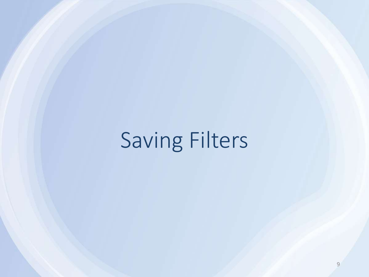## Saving Filters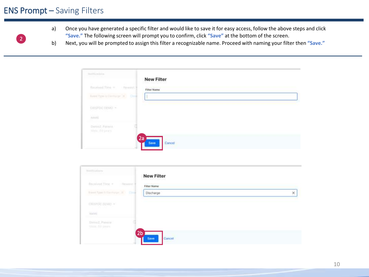#### ENS Prompt – Saving Filters



- a) Once you have generated a specific filter and would like to save it for easy access, follow the above steps and click **"Save."** The following screen will prompt you to confirm, click **"Save"** at the bottom of the screen.
- b) Next, you will be prompted to assign this filter a recognizable name. Proceed with naming your filter then **"Save."**

| <b>New Filter</b>                  |                                 |
|------------------------------------|---------------------------------|
| Newmat)<br><b>Finar Name</b>       |                                 |
| ö.,<br>Avere Type is former pr (8) |                                 |
|                                    |                                 |
|                                    |                                 |
|                                    |                                 |
|                                    | 10 - Patrick Britannic († 1921) |

|   | <b>New Filter</b>  |                | <b>Procedures</b>                             |
|---|--------------------|----------------|-----------------------------------------------|
|   | <b>Filter Name</b> | (Nowest)       | <b>Contract Commercial</b><br>Received:Time = |
| × | Discharge          | $\sim$         | Frent Sports Company, 2011                    |
|   |                    |                | chiando anvio -                               |
|   |                    |                | HANH                                          |
|   |                    |                | Daired, Panein<br><b>Union for painting</b>   |
|   |                    | 2 <sub>b</sub> |                                               |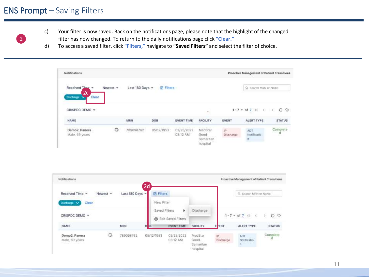#### ENS Prompt – Saving Filters



- c) Your filter is now saved. Back on the notifications page, please note that the highlight of the changed filter has now changed. To return to the daily notifications page click **"Clear."**
- d) To access a saved filter, click **"Filters,"** navigate to **"Saved Filters"** and select the filter of choice.

| Notifications                                           |          |                |                             |                        |                                          |                  | Proactive Management of Patient Transitions |               |
|---------------------------------------------------------|----------|----------------|-----------------------------|------------------------|------------------------------------------|------------------|---------------------------------------------|---------------|
| Received Time *<br>2 <sub>c</sub><br>Discharge<br>Clear | Newest # | Last 180 Days  | <b>同 Filters</b>            |                        |                                          |                  | Q. Search MRN or Name                       |               |
| CRISPDC DEMO *                                          |          |                |                             |                        | ×.                                       |                  | $1 - 7 = 017$ (c) ( $\supset$               | QQ            |
| NAME                                                    |          | MRN<br>2010/07 | 20500<br>DOB<br><u> 199</u> | <b>EVENT TIME</b>      | FACILITY                                 | <b>EVENT</b>     | ALERT TYPE                                  | <b>STATUS</b> |
| Demo2, Panera<br>Male, 69 years                         | c        | 789098762      | 05/12/1953                  | 02/25/2022<br>03:12 AM | MedStar<br>Good<br>Samaritan<br>hospital | jP.<br>Discharge | ADT<br>Notificatio<br>$\vert \Pi \vert$     | Complete<br>đ |

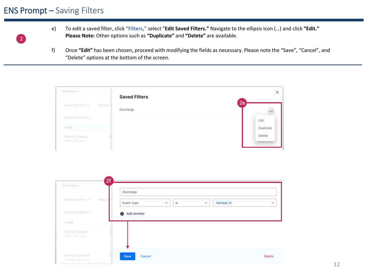#### ENS Prompt – Saving Filters

2

- e) To edit a saved filter, click **"Filters,"** select "**Edit Saved Filters."** Navigate to the ellipsis icon (…) and click **"Edit." Please Note:** Other options such as **"Duplicate"** and **"Delete"** are available.
- f) Once **"Edit"** has been chosen, proceed with modifying the fields as necessary. Please note the "Save", "Cancel", and "Delete" options at the bottom of the screen.

| Hittifications                                 | <b>Saved Filters</b> |           |
|------------------------------------------------|----------------------|-----------|
| <b>Received Time +</b><br>Newsall              | Discharge            | l2e'      |
| ciasmoc.pitheo -                               |                      | Edit      |
| <b>HAIVE</b>                                   |                      | Duplicate |
| The County<br>Perno2, Pattern<br>Maje 60 years |                      | Delete    |

|                              | Discharge                                           |   |
|------------------------------|-----------------------------------------------------|---|
| Received Time 35<br>Pervent  | Event Type<br>Discharge X<br>×<br>将<br>$\mathcal V$ | × |
| CHISPOC(CEMO =               | Add another                                         |   |
| Viduol.                      |                                                     |   |
| Denis2 Panera<br>Marc Diyout |                                                     |   |
|                              |                                                     |   |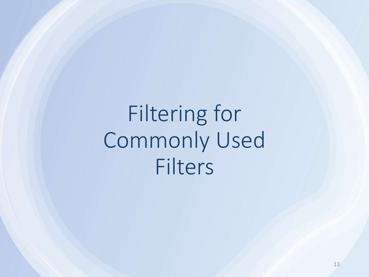Filtering for Commonly Used Filters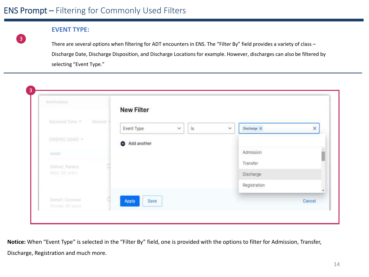#### **EVENT TYPE:**

3

There are several options when filtering for ADT encounters in ENS. The "Filter By" field provides a variety of class -Discharge Date, Discharge Disposition, and Discharge Locations for example. However, discharges can also be filtered by selecting "Event Type."

| Natifications.                     |        | <b>New Filter</b>                 |              |              |        |
|------------------------------------|--------|-----------------------------------|--------------|--------------|--------|
| Received Time.                     | Newest | İs.<br>Event Type<br>$\checkmark$ | $\checkmark$ | Discharge X  | ×      |
| CRISPDC DEMO =                     |        | Add another                       |              |              |        |
| NAME <sup></sup>                   |        |                                   |              | Admission    |        |
| Demo2, Panera                      |        |                                   |              | Transfer     |        |
| Male, 69 years                     |        |                                   |              | Discharge    |        |
|                                    |        |                                   |              | Registration |        |
| Demo1; Coconut<br>Female: 66 years |        | Apply<br>Save                     |              |              | Cancel |

**Notice:** When "Event Type" is selected in the "Filter By" field, one is provided with the options to filter for Admission, Transfer, Discharge, Registration and much more.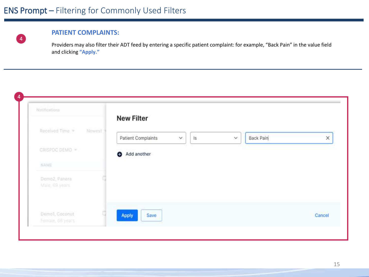

#### **PATIENT COMPLAINTS:**

Providers may also filter their ADT feed by entering a specific patient complaint: for example, "Back Pain" in the value field and clicking **"Apply."**

| Notifications                      |         | <b>New Filter</b>                                              |                       |
|------------------------------------|---------|----------------------------------------------------------------|-----------------------|
| Received Time                      | Novrest | $\overline{\mathsf{ls}}$<br>Patient Complaints<br>$\vee$<br>V. | Back Pain<br>$\times$ |
| CRISPDC DEMO =                     |         | Add another<br>θ                                               |                       |
| NAME                               |         |                                                                |                       |
| Demo2, Panera<br>Male, 69 years    |         |                                                                |                       |
| Demo1, Coconut<br>Female, 66 years |         | Apply<br>Save                                                  | Cancel                |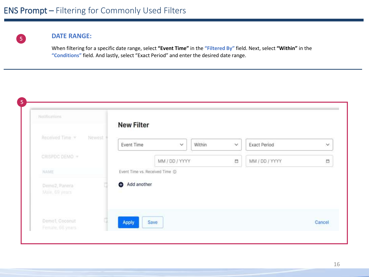

#### **DATE RANGE:**

When filtering for a specific date range, select **"Event Time"** in the **"Filtered By"** field. Next, select **"Within"** in the **"Conditions"** field. And lastly, select "Exact Period" and enter the desired date range.

| Notifications.                  |        | <b>New Filter</b>              |                |        |        |                     |        |
|---------------------------------|--------|--------------------------------|----------------|--------|--------|---------------------|--------|
| Received Time                   | Newest | Event Time                     | $\vee$         | Within | $\vee$ | <b>Exact Period</b> | $\vee$ |
| CRISPDC DEMO =                  |        |                                | MM / DD / YYYY |        | 凸      | MM / DD / YYYY      | Ë      |
| NAME                            |        | Event Time vs. Received Time @ |                |        |        |                     |        |
| Demo2, Panera<br>Male, 69 years |        | Add another                    |                |        |        |                     |        |
| Demo1, Coconut                  |        | Apply                          | Save           |        |        |                     | Cancel |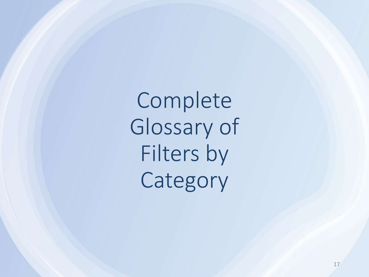Complete Glossary of Filters by Category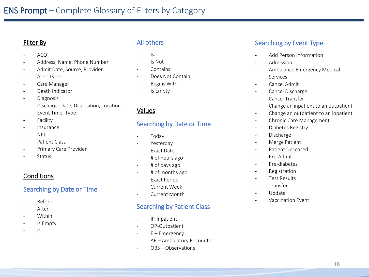#### Filter By

- ACO
- Address, Name, Phone Number
- Admit Date, Source, Provider
- Alert Type
- Care Manager
- Death Indicator
- Diagnosis
- Discharge Date, Disposition, Location
- Event Time, Type
- Facility
- Insurance
- NPI
- Patient Class
- Primary Care Provider
- **Status**

#### **Conditions**

#### Searching by Date or Time

- Before
- After
- Within
- Is Empty
- $\mathsf{I}$ s

#### All others

- $\mathsf{I}$ s
- Is Not
- **Contains**
- Does Not Contain
- Begins With
- Is Empty

#### Values

#### Searching by Date or Time

- Today
- Yesterday
- Exact Date
- # of hours ago
- # of days ago
- # of months ago
- **Fxact Period**
- Current Week
- Current Month

#### Searching by Patient Class

- IP-Inpatient
- OP-Outpatient
- $E$  Emergency
- AE Ambulatory Encounter
- OBS Observations

#### Searching by Event Type

- Add Person Information
- Admission
- Ambulance Emergency Medical Services
- Cancel Admit
- Cancel Discharge
- Cancel Transfer
- Change an inpatient to an outpatient
- Change an outpatient to an inpatient
- Chronic Care Management
- Diabetes Registry
- Discharge
- Merge Patient
- Patient Deceased
- Pre-Admit
- Pre-diabetes
- Registration
- Test Results
- **Transfer**
- **Update**
- Vaccination Event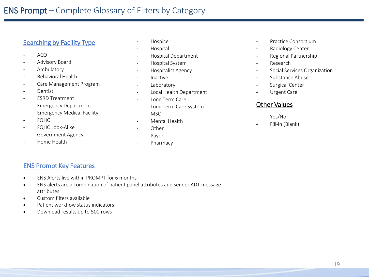#### Searching by Facility Type

- ACO
- Advisory Board
- Ambulatory
- Behavioral Health
- Care Management Program
- Dentist
- ESRD Treatment
- Emergency Department
- Emergency Medical Facility
- FQHC
- FQHC Look-Alike
- Government Agency
- Home Health
- **Hospice**
- **Hospital**
- Hospital Department
- Hospital System
- Hospitalist Agency
- Inactive
- **Laboratory**
- Local Health Department
- Long Term Care
- Long Term Care System
- MSO
- Mental Health
- Other
- Payor
- Pharmacy
- Practice Consortium
- Radiology Center
- Regional Partnership
- **Research**
- Social Services Organization
- Substance Abuse
- Surgical Center
- Urgent Care

#### Other Values

- Yes/No
- Fill-in (Blank)

#### ENS Prompt Key Features

- ENS Alerts live within PROMPT for 6 months
- ENS alerts are a combination of patient panel attributes and sender ADT message attributes
- Custom filters available
- Patient workflow status indicators
- Download results up to 500 rows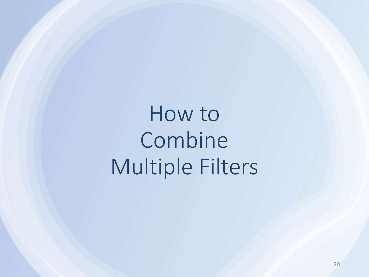How to Combine Multiple Filters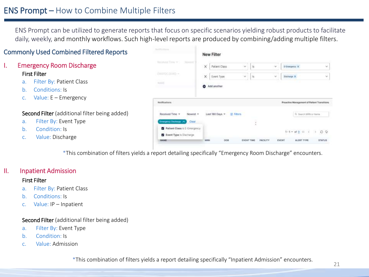#### ENS Prompt – How to Combine Multiple Filters

ENS Prompt can be utilized to generate reports that focus on specific scenarios yielding robust products to facilitate daily, weekly, and monthly workflows. Such high-level reports are produced by combining/adding multiple filters.

#### Commonly Used Combined Filtered Reports

#### I. Emergency Room Discharge First Filter

- a. Filter By: Patient Class
- b. Conditions: Is
- c. Value: E Emergency

#### Second Filter (additional filter being added)

- a. Filter By: Event Type
- b. Condition: Is
- c. Value: Discharge

**New Filter** Patient Class  $-16$ E-Diseguice K  $\omega$ Event Type  $-15$ **Bishway X** V.  $\sim$ nave Add another Natifications Proactive Management of Patient Transition Received Time Last \$80 Days \* **E** Filters G. Skenn MRN or Name **B** Patient Class is E-Emergen- $DQ$ **E2** Event Type is Discharge EVENT **STATUS** 

\*This combination of filters yields a report detailing specifically "Emergency Room Discharge" encounters.

#### II. Inpatient Admission

#### First Filter

- a. Filter By: Patient Class
- b. Conditions: Is
- c. Value: IP Inpatient

#### Second Filter (additional filter being added)

- a. Filter By: Event Type
- b. Condition: Is
- c. Value: Admission

\*This combination of filters yields a report detailing specifically "Inpatient Admission" encounters.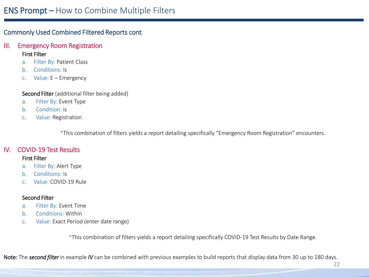#### Commonly Used Combined Filtered Reports cont.

#### III. Emergency Room Registration First Filter

- a. Filter By: Patient Class
- b. Conditions: Is
- c. Value: E Emergency

Second Filter (additional filter being added)

- a. Filter By: Event Type
- b. Condition: is
- c. Value: Registration

\*This combination of filters yields a report detailing specifically "Emergency Room Registration" encounters.

#### IV. COVID-19 Test Results

#### First Filter

- a. Filter By: Alert Type
- b. Conditions: Is
- c. Value: COVID-19 Rule

#### Second Filter

- a. Filter By: Event Time
- b. Conditions: Within
- c. Value: Exact Period (enter date range)

\*This combination of filters yields a report detailing specifically COVID-19 Test Results by Date Range.

Note: The *second filter* in example *IV* can be combined with previous examples to build reports that display data from 30 up to 180 days.